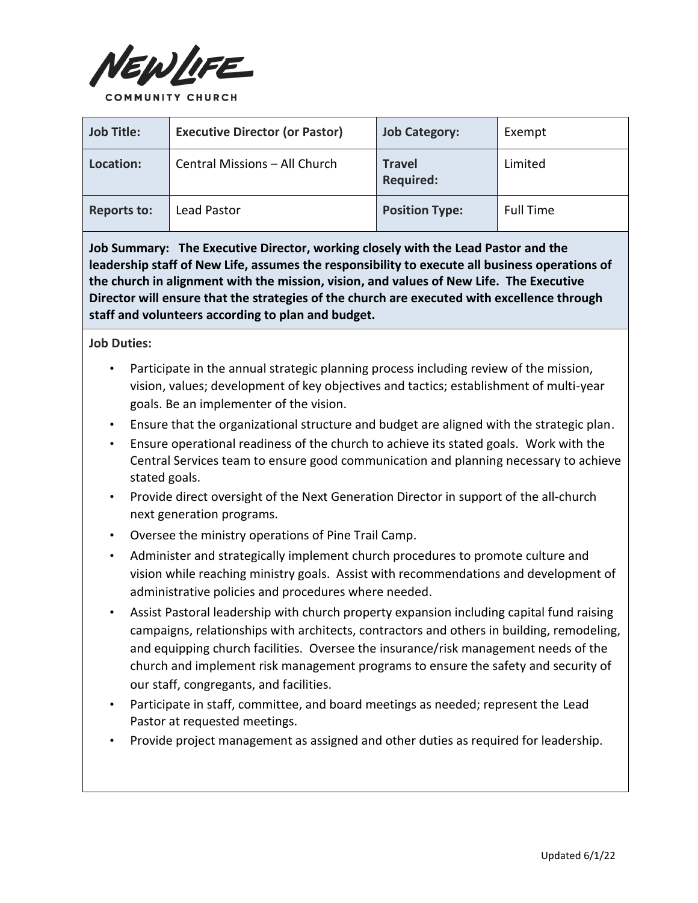

| <b>Job Title:</b>  | <b>Executive Director (or Pastor)</b> | <b>Job Category:</b>              | Exempt           |
|--------------------|---------------------------------------|-----------------------------------|------------------|
| Location:          | Central Missions - All Church         | <b>Travel</b><br><b>Required:</b> | Limited          |
| <b>Reports to:</b> | Lead Pastor                           | <b>Position Type:</b>             | <b>Full Time</b> |

**Job Summary: The Executive Director, working closely with the Lead Pastor and the leadership staff of New Life, assumes the responsibility to execute all business operations of the church in alignment with the mission, vision, and values of New Life. The Executive Director will ensure that the strategies of the church are executed with excellence through staff and volunteers according to plan and budget.** 

**Job Duties:** 

- Participate in the annual strategic planning process including review of the mission, vision, values; development of key objectives and tactics; establishment of multi-year goals. Be an implementer of the vision.
- Ensure that the organizational structure and budget are aligned with the strategic plan.
- Ensure operational readiness of the church to achieve its stated goals. Work with the Central Services team to ensure good communication and planning necessary to achieve stated goals.
- Provide direct oversight of the Next Generation Director in support of the all-church next generation programs.
- Oversee the ministry operations of Pine Trail Camp.
- Administer and strategically implement church procedures to promote culture and vision while reaching ministry goals. Assist with recommendations and development of administrative policies and procedures where needed.
- Assist Pastoral leadership with church property expansion including capital fund raising campaigns, relationships with architects, contractors and others in building, remodeling, and equipping church facilities. Oversee the insurance/risk management needs of the church and implement risk management programs to ensure the safety and security of our staff, congregants, and facilities.
- Participate in staff, committee, and board meetings as needed; represent the Lead Pastor at requested meetings.
- Provide project management as assigned and other duties as required for leadership.